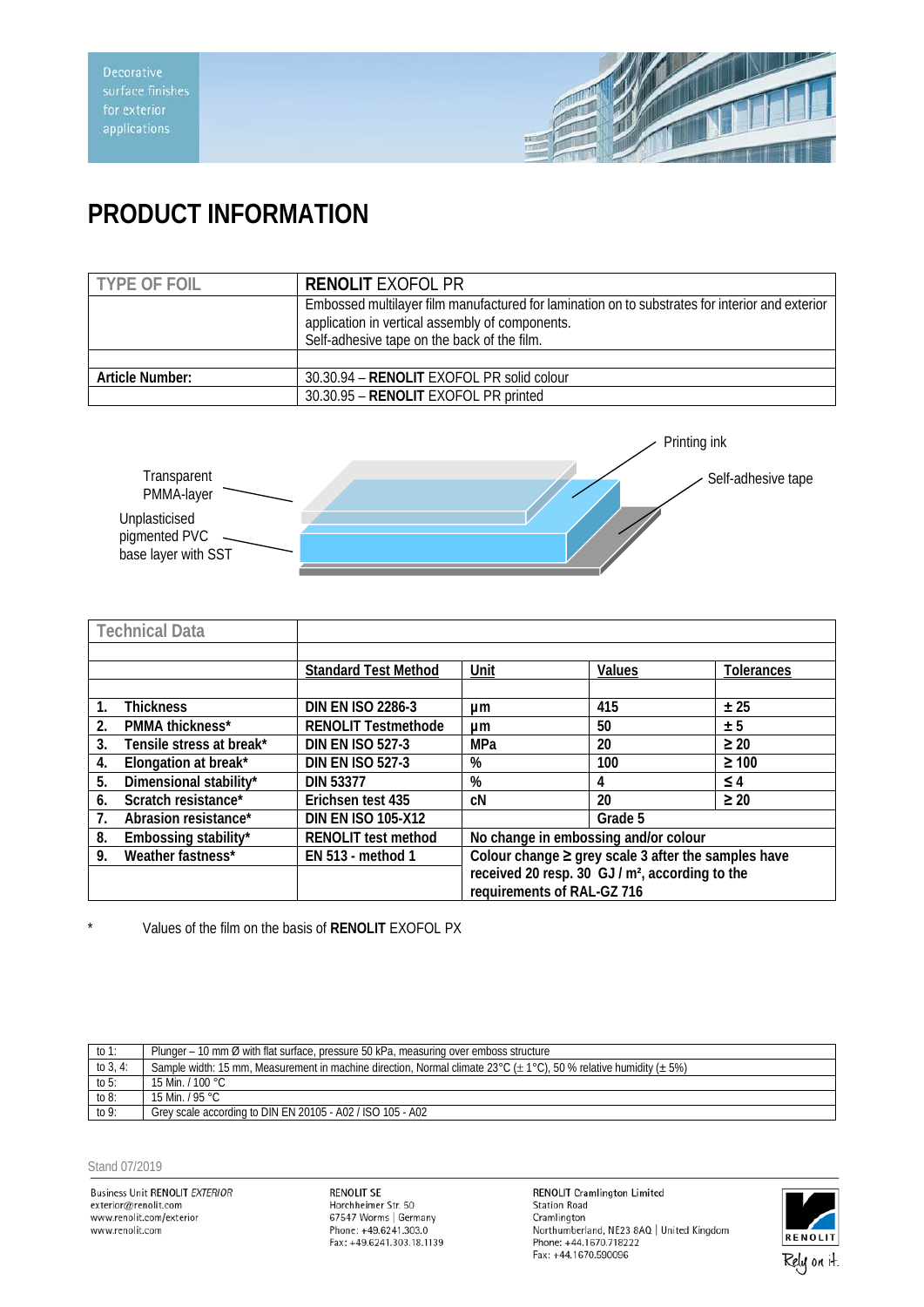

## **PRODUCT INFORMATION**

| <b>TYPE OF FOIL</b> | <b>RENOLIT EXOFOL PR</b>                                                                                                                                                                          |  |
|---------------------|---------------------------------------------------------------------------------------------------------------------------------------------------------------------------------------------------|--|
|                     | Embossed multilayer film manufactured for lamination on to substrates for interior and exterior<br>application in vertical assembly of components.<br>Self-adhesive tape on the back of the film. |  |
|                     |                                                                                                                                                                                                   |  |
| Article Number:     | 30.30.94 - RENOLIT EXOFOL PR solid colour                                                                                                                                                         |  |
|                     | 30.30.95 - RENOLIT EXOFOL PR printed                                                                                                                                                              |  |



|    | <b>Technical Data</b>    |                             |                                                     |                                                             |                   |
|----|--------------------------|-----------------------------|-----------------------------------------------------|-------------------------------------------------------------|-------------------|
|    |                          |                             |                                                     |                                                             |                   |
|    |                          | <b>Standard Test Method</b> | Unit                                                | Values                                                      | <b>Tolerances</b> |
|    |                          |                             |                                                     |                                                             |                   |
| 1. | <b>Thickness</b>         | <b>DIN EN ISO 2286-3</b>    | μm                                                  | 415                                                         | ± 25              |
| 2. | PMMA thickness*          | <b>RENOLIT Testmethode</b>  | μm                                                  | 50                                                          | ± 5               |
| 3. | Tensile stress at break* | <b>DIN EN ISO 527-3</b>     | MPa                                                 | 20                                                          | $\geq 20$         |
| 4. | Elongation at break*     | <b>DIN EN ISO 527-3</b>     | %                                                   | 100                                                         | $\geq 100$        |
| 5. | Dimensional stability*   | <b>DIN 53377</b>            | %                                                   | 4                                                           | $\leq 4$          |
| 6. | Scratch resistance*      | Erichsen test 435           | cN                                                  | 20                                                          | $\geq 20$         |
| 7. | Abrasion resistance*     | <b>DIN EN ISO 105-X12</b>   |                                                     | Grade 5                                                     |                   |
| 8. | Embossing stability*     | <b>RENOLIT test method</b>  | No change in embossing and/or colour                |                                                             |                   |
| 9. | Weather fastness*        | EN 513 - method 1           | Colour change ≥ grey scale 3 after the samples have |                                                             |                   |
|    |                          |                             |                                                     | received 20 resp. 30 GJ / m <sup>2</sup> , according to the |                   |
|    |                          |                             | requirements of RAL-GZ 716                          |                                                             |                   |

\* Values of the film on the basis of **RENOLIT** EXOFOL PX

| to 1:       | Plunger – 10 mm Ø with flat surface, pressure 50 kPa, measuring over emboss structure                                       |
|-------------|-----------------------------------------------------------------------------------------------------------------------------|
| to $3, 4$ : | Sample width: 15 mm, Measurement in machine direction, Normal climate 23°C ( $\pm$ 1°C), 50 % relative humidity ( $\pm$ 5%) |
| to $5:$     | 15 Min. / 100 °C                                                                                                            |
| to $8$ :    | 15 Min. / 95 °C                                                                                                             |
| to $9:$     | Grey scale according to DIN EN 20105 - A02 / ISO 105 - A02                                                                  |

## Stand 07/2019

Business Unit RENOLIT *EXTERIOR*<br>exterior@renolit.com<br>www.renolit.com/exterior www.renolit.com

**RENOLIT SE** Horchheimer Str. 50<br>67547 Worms | Germany<br>Phone: +49.6241.303.0 Fax: +49.6241.303.18.1139 RENOLIT Cramlington Limited<br>Station Road<br>Cramlington Northumberland, NE23 8AQ | United Kingdom Phone: +44.1670.718222 Fax: +44.1670.590096